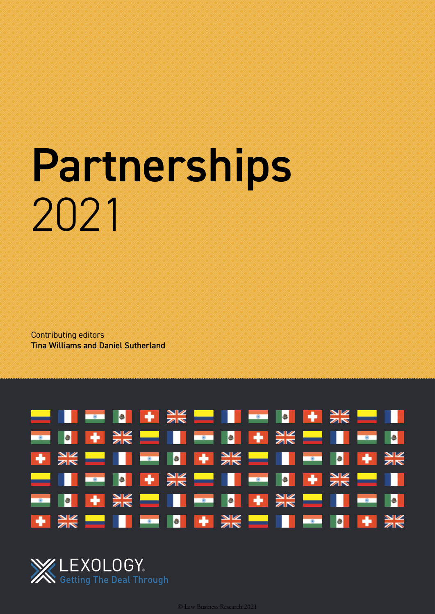# Partnerships 2021

Contributing editors Tina Williams and Daniel Sutherland





© Law Business Research 2021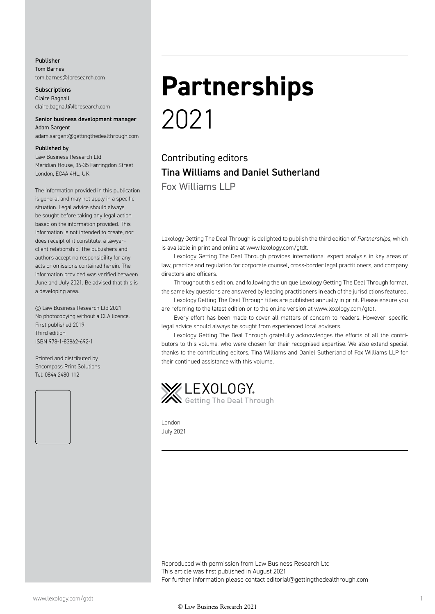#### Publisher Tom Barnes tom.barnes@lbresearch.com

**Subscriptions** Claire Bagnall claire.bagnall@lbresearch.com

#### Senior business development manager Adam Sargent

adam.sargent@gettingthedealthrough.com

#### Published by

Law Business Research Ltd Meridian House, 34-35 Farringdon Street London, EC4A 4HL, UK

The information provided in this publication is general and may not apply in a specific situation. Legal advice should always be sought before taking any legal action based on the information provided. This information is not intended to create, nor does receipt of it constitute, a lawyer– client relationship. The publishers and authors accept no responsibility for any acts or omissions contained herein. The information provided was verified between June and July 2021. Be advised that this is a developing area.

© Law Business Research Ltd 2021 No photocopying without a CLA licence. First published 2019 Third edition ISBN 978-1-83862-692-1

Printed and distributed by Encompass Print Solutions Tel: 0844 2480 112



## **Partnerships** 2021

Contributing editors Tina Williams and Daniel Sutherland Fox Williams LLP

Lexology Getting The Deal Through is delighted to publish the third edition of *Partnerships,* which is available in print and online at www.lexology.com/gtdt.

Lexology Getting The Deal Through provides international expert analysis in key areas of law, practice and regulation for corporate counsel, cross-border legal practitioners, and company directors and officers.

Throughout this edition, and following the unique Lexology Getting The Deal Through format, the same key questions are answered by leading practitioners in each of the jurisdictions featured.

Lexology Getting The Deal Through titles are published annually in print. Please ensure you are referring to the latest edition or to the online version at www.lexology.com/gtdt.

Every effort has been made to cover all matters of concern to readers. However, specific legal advice should always be sought from experienced local advisers.

Lexology Getting The Deal Through gratefully acknowledges the efforts of all the contributors to this volume, who were chosen for their recognised expertise. We also extend special thanks to the contributing editors, Tina Williams and Daniel Sutherland of Fox Williams LLP for their continued assistance with this volume.



London July 2021

Reproduced with permission from Law Business Research Ltd This article was first published in August 2021 For further information please contact editorial@gettingthedealthrough.com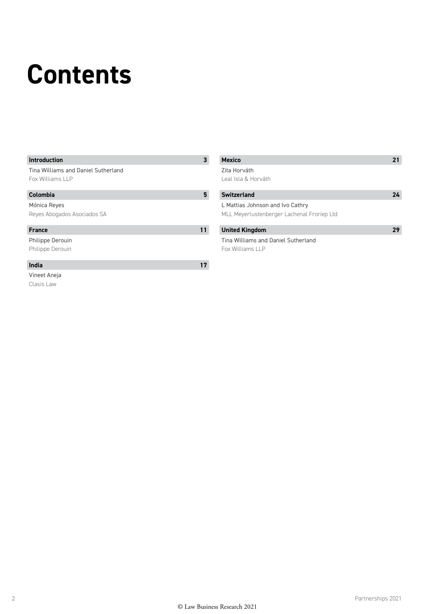## **Contents**

#### **Introduction 3**

#### Tina Williams and Daniel Sutherland Fox Williams LLP

#### **Colombia 5**

#### Mónica Reyes

#### Reyes Abogados Asociados SA

#### **France**

Philippe Derouin Philippe Derouin

#### **India 17**

Vineet Aneja Clasis Law

| 3  | <b>Mexico</b>                              | 21  |
|----|--------------------------------------------|-----|
|    | Zita Horváth                               |     |
|    | Leal Isla & Horváth                        |     |
| 5  | <b>Switzerland</b>                         | 27. |
|    | L Mattias Johnson and Ivo Cathry           |     |
|    | MLL Meyerlustenberger Lachenal Froriep Ltd |     |
| 11 | <b>United Kingdom</b>                      |     |

Tina Williams and Daniel Sutherland Fox Williams LLP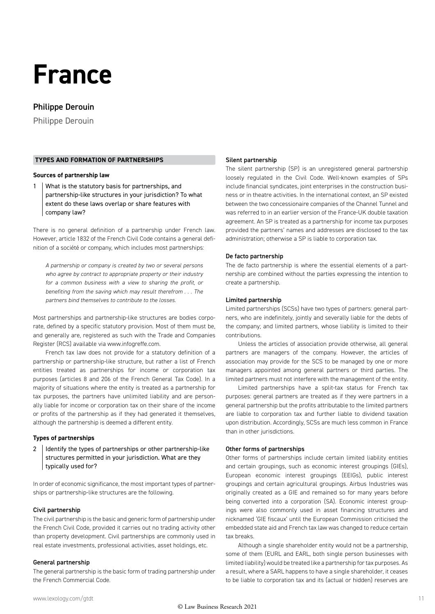### **France**

#### Philippe Derouin

Philippe Derouin

#### **TYPES AND FORMATION OF PARTNERSHIPS**

#### **Sources of partnership law**

1 What is the statutory basis for partnerships, and partnership-like structures in your jurisdiction? To what extent do these laws overlap or share features with company law?

There is no general definition of a partnership under French law. However, article 1832 of the French Civil Code contains a general definition of a société or company, which includes most partnerships:

*A partnership or company is created by two or several persons who agree by contract to appropriate property or their industry for a common business with a view to sharing the profit, or benefiting from the saving which may result therefrom . . . The partners bind themselves to contribute to the losses.*

Most partnerships and partnership-like structures are bodies corporate, defined by a specific statutory provision. Most of them must be, and generally are, registered as such with the Trade and Companies Register (RCS) available via www.infogreffe.com.

French tax law does not provide for a statutory definition of a partnership or partnership-like structure, but rather a list of French entities treated as partnerships for income or corporation tax purposes (articles 8 and 206 of the French General Tax Code). In a majority of situations where the entity is treated as a partnership for tax purposes, the partners have unlimited liability and are personally liable for income or corporation tax on their share of the income or profits of the partnership as if they had generated it themselves, although the partnership is deemed a different entity.

#### **Types of partnerships**

2 | Identify the types of partnerships or other partnership-like structures permitted in your jurisdiction. What are they typically used for?

In order of economic significance, the most important types of partnerships or partnership-like structures are the following.

#### Civil partnership

The civil partnership is the basic and generic form of partnership under the French Civil Code, provided it carries out no trading activity other than property development. Civil partnerships are commonly used in real estate investments, professional activities, asset holdings, etc.

#### General partnership

The general partnership is the basic form of trading partnership under the French Commercial Code.

#### Silent partnership

The silent partnership (SP) is an unregistered general partnership loosely regulated in the Civil Code. Well-known examples of SPs include financial syndicates, joint enterprises in the construction business or in theatre activities. In the international context, an SP existed between the two concessionaire companies of the Channel Tunnel and was referred to in an earlier version of the France-UK double taxation agreement. An SP is treated as a partnership for income tax purposes provided the partners' names and addresses are disclosed to the tax administration; otherwise a SP is liable to corporation tax.

#### De facto partnership

The de facto partnership is where the essential elements of a partnership are combined without the parties expressing the intention to create a partnership.

#### Limited partnership

Limited partnerships (SCSs) have two types of partners: general partners, who are indefinitely, jointly and severally liable for the debts of the company; and limited partners, whose liability is limited to their contributions.

Unless the articles of association provide otherwise, all general partners are managers of the company. However, the articles of association may provide for the SCS to be managed by one or more managers appointed among general partners or third parties. The limited partners must not interfere with the management of the entity.

Limited partnerships have a split-tax status for French tax purposes: general partners are treated as if they were partners in a general partnership but the profits attributable to the limited partners are liable to corporation tax and further liable to dividend taxation upon distribution. Accordingly, SCSs are much less common in France than in other jurisdictions.

#### Other forms of partnerships

Other forms of partnerships include certain limited liability entities and certain groupings, such as economic interest groupings (GIEs), European economic interest groupings (EEIGs), public interest groupings and certain agricultural groupings. Airbus Industries was originally created as a GIE and remained so for many years before being converted into a corporation (SA). Economic interest groupings were also commonly used in asset financing structures and nicknamed 'GIE fiscaux' until the European Commission criticised the embedded state aid and French tax law was changed to reduce certain tax breaks.

Although a single shareholder entity would not be a partnership, some of them (EURL and EARL, both single person businesses with limited liability) would be treated like a partnership for tax purposes. As a result, where a SARL happens to have a single shareholder, it ceases to be liable to corporation tax and its (actual or hidden) reserves are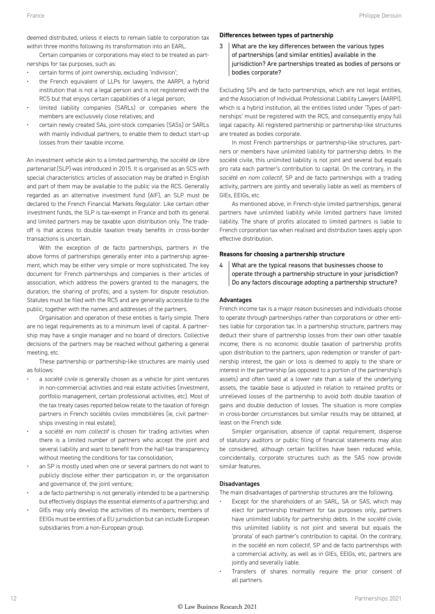deemed distributed, unless it elects to remain liable to corporation tax within three months following its transformation into an EARL.

Certain companies or corporations may elect to be treated as partnerships for tax purposes, such as:

- certain forms of joint ownership, excluding 'indivision';
- the French equivalent of LLPs for lawyers, the AARPI, a hybrid institution that is not a legal person and is not registered with the RCS but that enjoys certain capabilities of a legal person;
- limited liability companies (SARLs) or companies where the members are exclusively close relatives; and
- certain newly created SAs, joint-stock companies (SASs) or SARLs with mainly individual partners, to enable them to deduct start-up losses from their taxable income.

An investment vehicle akin to a limited partnership, the *société de libre partenariat* (SLP) was introduced in 2015. It is organised as an SCS with special characteristics: articles of association may be drafted in English and part of them may be available to the public via the RCS. Generally regarded as an alternative investment fund (AIF), an SLP must be declared to the French Financial Markets Regulator. Like certain other investment funds, the SLP is tax-exempt in France and both its general and limited partners may be taxable upon distribution only. The tradeoff is that access to double taxation treaty benefits in cross-border transactions is uncertain.

With the exception of de facto partnerships, partners in the above forms of partnerships generally enter into a partnership agreement, which may be either very simple or more sophisticated. The key document for French partnerships and companies is their articles of association, which address the powers granted to the managers; the duration; the sharing of profits; and a system for dispute resolution. Statutes must be filed with the RCS and are generally accessible to the public, together with the names and addresses of the partners.

Organisation and operation of these entities is fairly simple. There are no legal requirements as to a minimum level of capital. A partnership may have a single manager and no board of directors. Collective decisions of the partners may be reached without gathering a general meeting, etc.

These partnership or partnership-like structures are mainly used as follows:

- a *société civile* is generally chosen as a vehicle for joint ventures in non-commercial activities and real estate activities (investment, portfolio management, certain professional activities, etc). Most of the tax treaty cases reported below relate to the taxation of foreign partners in French sociétés civiles immobilières (ie, civil partnerships investing in real estate);
- a s*ociété en nom collectif* is chosen for trading activities when there is a limited number of partners who accept the joint and several liability and want to benefit from the half-tax transparency without meeting the conditions for tax consolidation;
- an SP is mostly used when one or several partners do not want to publicly disclose either their participation in, or the organisation and governance of, the joint venture;
- a de facto partnership is not generally intended to be a partnership but effectively displays the essential elements of a partnership; and
- GIEs may only develop the activities of its members; members of EEIGs must be entities of a EU jurisdiction but can include European subsidiaries from a non-European group.

#### **Differences between types of partnership**

3 What are the key differences between the various types of partnerships (and similar entities) available in the jurisdiction? Are partnerships treated as bodies of persons or bodies corporate?

Excluding SPs and de facto partnerships, which are not legal entities, and the Association of Individual Professional Liability Lawyers (AARPI), which is a hybrid institution, all the entities listed under 'Types of partnerships' must be registered with the RCS, and consequently enjoy full legal capacity. All registered partnership or partnership-like structures are treated as bodies corporate.

In most French partnerships or partnership-like structures, partners or members have unlimited liability for partnership debts. In the société civile, this unlimited liability is not joint and several but equals pro rata each partner's contribution to capital. On the contrary, in the *société en nom collectif*, SP and de facto partnerships with a trading activity, partners are jointly and severally liable as well as members of GIEs, EEIGs, etc.

As mentioned above, in French-style limited partnerships, general partners have unlimited liability while limited partners have limited liability. The share of profits allocated to limited partners is liable to French corporation tax when realised and distribution taxes apply upon effective distribution.

#### **Reasons for choosing a partnership structure**

4 What are the typical reasons that businesses choose to operate through a partnership structure in your jurisdiction? Do any factors discourage adopting a partnership structure?

#### Advantages

French income tax is a major reason businesses and individuals choose to operate through partnerships rather than corporations or other entities liable for corporation tax. In a partnership structure, partners may deduct their share of partnership losses from their own other taxable income; there is no economic double taxation of partnership profits upon distribution to the partners; upon redemption or transfer of partnership interest, the gain or loss is deemed to apply to the share or interest in the partnership (as opposed to a portion of the partnership's assets) and often taxed at a lower rate than a sale of the underlying assets, the taxable base is adjusted in relation to retained profits or unrelieved losses of the partnership to avoid both double taxation of gains and double deduction of losses. The situation is more complex in cross-border circumstances but similar results may be obtained, at least on the French side.

Simpler organisation, absence of capital requirement, dispense of statutory auditors or public filing of financial statements may also be considered, although certain facilities have been reduced while, coincidentally, corporate structures such as the SAS now provide similar features.

#### Disadvantages

The main disadvantages of partnership structures are the following.

- Except for the shareholders of an SARL, SA or SAS, which may elect for partnership treatment for tax purposes only, partners have unlimited liability for partnership debts. In the *société civile*, this unlimited liability is not joint and several but equals the 'prorata' of each partner's contribution to capital. On the contrary, in the société en nom collectif, SP and de facto partnerships with a commercial activity, as well as in GIEs, EEIGs, etc, partners are jointly and severally liable.
- Transfers of shares normally require the prior consent of all partners.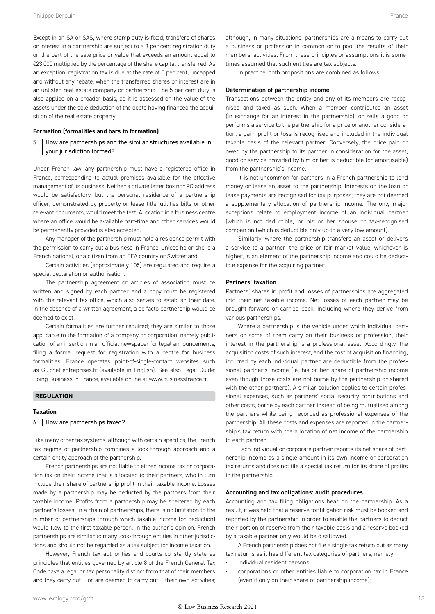Except in an SA or SAS, where stamp duty is fixed, transfers of shares or interest in a partnership are subject to a 3 per cent registration duty on the part of the sale price or value that exceeds an amount equal to €23,000 multiplied by the percentage of the share capital transferred. As an exception, registration tax is due at the rate of 5 per cent, uncapped and without any rebate, when the transferred shares or interest are in an unlisted real estate company or partnership. The 5 per cent duty is also applied on a broader basis, as it is assessed on the value of the

#### **Formation (formalities and bars to formation)**

sition of the real estate property.

#### 5 How are partnerships and the similar structures available in your jurisdiction formed?

assets under the sole deduction of the debts having financed the acqui-

Under French law, any partnership must have a registered office in France, corresponding to actual premises available for the effective management of its business. Neither a private letter box nor PO address would be satisfactory, but the personal residence of a partnership officer, demonstrated by property or lease title, utilities bills or other relevant documents, would meet the test. A location in a business centre where an office would be available part-time and other services would be permanently provided is also accepted.

Any manager of the partnership must hold a residence permit with the permission to carry out a business in France, unless he or she is a French national, or a citizen from an EEA country or Switzerland.

Certain activities (approximately 105) are regulated and require a special declaration or authorisation.

The partnership agreement or articles of association must be written and signed by each partner and a copy must be registered with the relevant tax office, which also serves to establish their date. In the absence of a written agreement, a de facto partnership would be deemed to exist.

Certain formalities are further required; they are similar to those applicable to the formation of a company or corporation, namely publication of an insertion in an official newspaper for legal announcements, filing a formal request for registration with a centre for business formalities. France operates point-of-single-contact websites such as Guichet-entreprises.fr (available in English). See also Legal Guide: Doing Business in France, available online at www.businessfrance.fr.

#### **REGULATION**

#### **Taxation**

#### 6 How are partnerships taxed?

Like many other tax systems, although with certain specifics, the French tax regime of partnership combines a look-through approach and a certain entity approach of the partnership.

French partnerships are not liable to either income tax or corporation tax on their income that is allocated to their partners, who in turn include their share of partnership profit in their taxable income. Losses made by a partnership may be deducted by the partners from their taxable income. Profits from a partnership may be sheltered by each partner's losses. In a chain of partnerships, there is no limitation to the number of partnerships through which taxable income (or deduction) would flow to the first taxable person. In the author's opinion, French partnerships are similar to many look-through entities in other jurisdictions and should not be regarded as a tax subject for income taxation.

However, French tax authorities and courts constantly state as principles that entities governed by article 8 of the French General Tax Code have a legal or tax personality distinct from that of their members and they carry out – or are deemed to carry out – their own activities; although, in many situations, partnerships are a means to carry out a business or profession in common or to pool the results of their members' activities. From these principles or assumptions it is sometimes assumed that such entities are tax subjects.

In practice, both propositions are combined as follows.

#### Determination of partnership income

Transactions between the entity and any of its members are recognised and taxed as such. When a member contributes an asset (in exchange for an interest in the partnership), or sells a good or performs a service to the partnership for a price or another consideration, a gain, profit or loss is recognised and included in the individual taxable basis of the relevant partner. Conversely, the price paid or owed by the partnership to its partner in consideration for the asset, good or service provided by him or her is deductible (or amortisable) from the partnership's income.

It is not uncommon for partners in a French partnership to lend money or lease an asset to the partnership. Interests on the loan or lease payments are recognised for tax purposes; they are not deemed a supplementary allocation of partnership income. The only major exceptions relate to employment income of an individual partner (which is not deductible) or his or her spouse or tax-recognised companion (which is deductible only up to a very low amount).

Similarly, where the partnership transfers an asset or delivers a service to a partner, the price or fair market value, whichever is higher, is an element of the partnership income and could be deductible expense for the acquiring partner.

#### Partners' taxation

Partners' shares in profit and losses of partnerships are aggregated into their net taxable income. Net losses of each partner may be brought forward or carried back, including where they derive from various partnerships.

Where a partnership is the vehicle under which individual partners or some of them carry on their business or profession, their interest in the partnership is a professional asset, Accordingly, the acquisition costs of such interest, and the cost of acquisition financing, incurred by each individual partner are deductible from the professional partner's income (ie, his or her share of partnership income even though those costs are not borne by the partnership or shared with the other partners). A similar solution applies to certain professional expenses, such as partners' social security contributions and other costs, borne by each partner instead of being mutualised among the partners while being recorded as professional expenses of the partnership. All these costs and expenses are reported in the partnership's tax return with the allocation of net income of the partnership to each partner.

Each individual or corporate partner reports its net share of partnership income as a single amount in its own income or corporation tax returns and does not file a special tax return for its share of profits in the partnership.

#### Accounting and tax obligations: audit procedures

Accounting and tax filing obligations bear on the partnership. As a result, it was held that a reserve for litigation risk must be booked and reported by the partnership in order to enable the partners to deduct their portion of reserve from their taxable basis and a reserve booked by a taxable partner only would be disallowed.

A French partnership does not file a single tax return but as many tax returns as it has different tax categories of partners, namely:

- individual resident persons;
- corporations or other entities liable to corporation tax in France (even if only on their share of partnership income);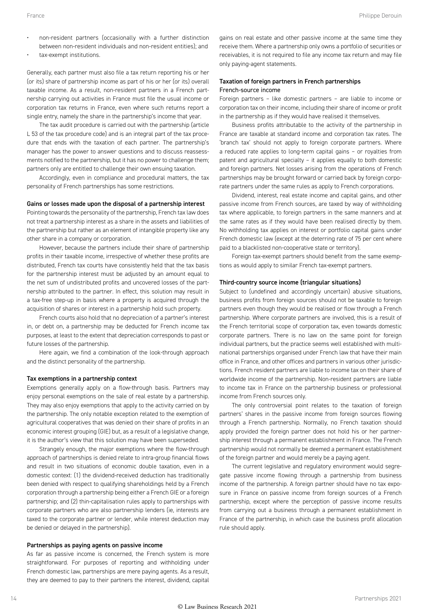- non-resident partners (occasionally with a further distinction between non-resident individuals and non-resident entities); and
- tax-exempt institutions.

Generally, each partner must also file a tax return reporting his or her (or its) share of partnership income as part of his or her (or its) overall taxable income. As a result, non-resident partners in a French partnership carrying out activities in France must file the usual income or corporation tax returns in France, even where such returns report a single entry, namely the share in the partnership's income that year.

The tax audit procedure is carried out with the partnership (article L 53 of the tax procedure code) and is an integral part of the tax procedure that ends with the taxation of each partner. The partnership's manager has the power to answer questions and to discuss reassessments notified to the partnership, but it has no power to challenge them; partners only are entitled to challenge their own ensuing taxation.

Accordingly, even in compliance and procedural matters, the tax personality of French partnerships has some restrictions.

#### Gains or losses made upon the disposal of a partnership interest

Pointing towards the personality of the partnership, French tax law does not treat a partnership interest as a share in the assets and liabilities of the partnership but rather as an element of intangible property like any other share in a company or corporation.

However, because the partners include their share of partnership profits in their taxable income, irrespective of whether these profits are distributed, French tax courts have consistently held that the tax basis for the partnership interest must be adjusted by an amount equal to the net sum of undistributed profits and uncovered losses of the partnership attributed to the partner. In effect, this solution may result in a tax-free step-up in basis where a property is acquired through the acquisition of shares or interest in a partnership hold such property.

French courts also hold that no depreciation of a partner's interest in, or debt on, a partnership may be deducted for French income tax purposes, at least to the extent that depreciation corresponds to past or future losses of the partnership.

Here again, we find a combination of the look-through approach and the distinct personality of the partnership.

#### Tax exemptions in a partnership context

Exemptions generally apply on a flow-through basis. Partners may enjoy personal exemptions on the sale of real estate by a partnership. They may also enjoy exemptions that apply to the activity carried on by the partnership. The only notable exception related to the exemption of agricultural cooperatives that was denied on their share of profits in an economic interest grouping (GIE) but, as a result of a legislative change, it is the author's view that this solution may have been superseded.

Strangely enough, the major exemptions where the flow-through approach of partnerships is denied relate to intra-group financial flows and result in two situations of economic double taxation, even in a domestic context: (1) the dividend-received deduction has traditionally been denied with respect to qualifying shareholdings held by a French corporation through a partnership being either a French GIE or a foreign partnership; and (2) thin-capitalisation rules apply to partnerships with corporate partners who are also partnership lenders (ie, interests are taxed to the corporate partner or lender, while interest deduction may be denied or delayed in the partnership).

#### Partnerships as paying agents on passive income

As far as passive income is concerned, the French system is more straightforward. For purposes of reporting and withholding under French domestic law, partnerships are mere paying agents. As a result, they are deemed to pay to their partners the interest, dividend, capital

gains on real estate and other passive income at the same time they receive them. Where a partnership only owns a portfolio of securities or receivables, it is not required to file any income tax return and may file only paying-agent statements.

#### Taxation of foreign partners in French partnerships French-source income

Foreign partners – like domestic partners – are liable to income or corporation tax on their income, including their share of income or profit in the partnership as if they would have realised it themselves.

Business profits attributable to the activity of the partnership in France are taxable at standard income and corporation tax rates. The 'branch tax' should not apply to foreign corporate partners. Where a reduced rate applies to long-term capital gains – or royalties from patent and agricultural specialty – it applies equally to both domestic and foreign partners. Net losses arising from the operations of French partnerships may be brought forward or carried back by foreign corporate partners under the same rules as apply to French corporations.

Dividend, interest, real estate income and capital gains, and other passive income from French sources, are taxed by way of withholding tax where applicable, to foreign partners in the same manners and at the same rates as if they would have been realised directly by them. No withholding tax applies on interest or portfolio capital gains under French domestic law (except at the deterring rate of 75 per cent where paid to a blacklisted non-cooperative state or territory).

Foreign tax-exempt partners should benefit from the same exemptions as would apply to similar French tax-exempt partners.

#### Third-country source income (triangular situations)

Subject to (undefined and accordingly uncertain) abusive situations, business profits from foreign sources should not be taxable to foreign partners even though they would be realised or flow through a French partnership. Where corporate partners are involved, this is a result of the French territorial scope of corporation tax, even towards domestic corporate partners. There is no law on the same point for foreign individual partners, but the practice seems well established with multinational partnerships organised under French law that have their main office in France, and other offices and partners in various other jurisdictions. French resident partners are liable to income tax on their share of worldwide income of the partnership. Non-resident partners are liable to income tax in France on the partnership business or professional income from French sources only.

The only controversial point relates to the taxation of foreign partners' shares in the passive income from foreign sources flowing through a French partnership. Normally, no French taxation should apply provided the foreign partner does not hold his or her partnership interest through a permanent establishment in France. The French partnership would not normally be deemed a permanent establishment of the foreign partner and would merely be a paying agent.

The current legislative and regulatory environment would segregate passive income flowing through a partnership from business income of the partnership. A foreign partner should have no tax exposure in France on passive income from foreign sources of a French partnership, except where the perception of passive income results from carrying out a business through a permanent establishment in France of the partnership, in which case the business profit allocation rule should apply.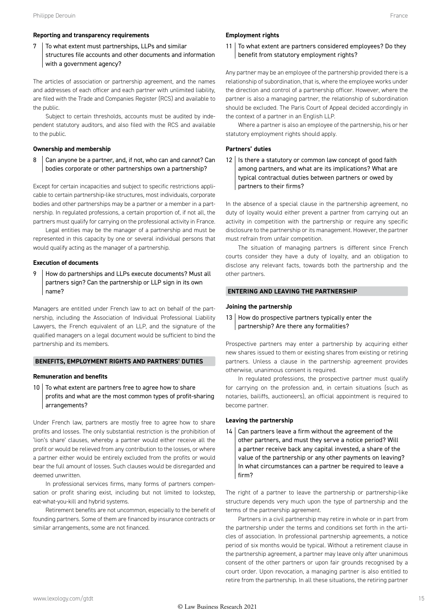#### **Reporting and transparency requirements**

7 To what extent must partnerships, LLPs and similar structures file accounts and other documents and information with a government agency?

The articles of association or partnership agreement, and the names and addresses of each officer and each partner with unlimited liability, are filed with the Trade and Companies Register (RCS) and available to the public.

Subject to certain thresholds, accounts must be audited by independent statutory auditors, and also filed with the RCS and available to the public.

#### **Ownership and membership**

8 Can anyone be a partner, and, if not, who can and cannot? Can bodies corporate or other partnerships own a partnership?

Except for certain incapacities and subject to specific restrictions applicable to certain partnership-like structures, most individuals, corporate bodies and other partnerships may be a partner or a member in a partnership. In regulated professions, a certain proportion of, if not all, the partners must qualify for carrying on the professional activity in France.

Legal entities may be the manager of a partnership and must be represented in this capacity by one or several individual persons that would qualify acting as the manager of a partnership.

#### **Execution of documents**

9 How do partnerships and LLPs execute documents? Must all partners sign? Can the partnership or LLP sign in its own name?

Managers are entitled under French law to act on behalf of the partnership, including the Association of Individual Professional Liability Lawyers, the French equivalent of an LLP, and the signature of the qualified managers on a legal document would be sufficient to bind the partnership and its members.

#### **BENEFITS, EMPLOYMENT RIGHTS AND PARTNERS' DUTIES**

#### **Remuneration and benefits**

 $10$  To what extent are partners free to agree how to share profits and what are the most common types of profit-sharing arrangements?

Under French law, partners are mostly free to agree how to share profits and losses. The only substantial restriction is the prohibition of 'lion's share' clauses, whereby a partner would either receive all the profit or would be relieved from any contribution to the losses, or where a partner either would be entirely excluded from the profits or would bear the full amount of losses. Such clauses would be disregarded and deemed unwritten.

In professional services firms, many forms of partners compensation or profit sharing exist, including but not limited to lockstep, eat-what-you-kill and hybrid systems.

Retirement benefits are not uncommon, especially to the benefit of founding partners. Some of them are financed by insurance contracts or similar arrangements, some are not financed.

#### **Employment rights**

11 To what extent are partners considered employees? Do they benefit from statutory employment rights?

Any partner may be an employee of the partnership provided there is a relationship of subordination, that is, where the employee works under the direction and control of a partnership officer. However, where the partner is also a managing partner, the relationship of subordination should be excluded. The Paris Court of Appeal decided accordingly in the context of a partner in an English LLP.

Where a partner is also an employee of the partnership, his or her statutory employment rights should apply.

#### **Partners' duties**

 $12$  Is there a statutory or common law concept of good faith among partners, and what are its implications? What are typical contractual duties between partners or owed by partners to their firms?

In the absence of a special clause in the partnership agreement, no duty of loyalty would either prevent a partner from carrying out an activity in competition with the partnership or require any specific disclosure to the partnership or its management. However, the partner must refrain from unfair competition.

The situation of managing partners is different since French courts consider they have a duty of loyalty, and an obligation to disclose any relevant facts, towards both the partnership and the other partners.

#### **ENTERING AND LEAVING THE PARTNERSHIP**

#### **Joining the partnership**

#### $13$  How do prospective partners typically enter the partnership? Are there any formalities?

Prospective partners may enter a partnership by acquiring either new shares issued to them or existing shares from existing or retiring partners. Unless a clause in the partnership agreement provides otherwise, unanimous consent is required.

In regulated professions, the prospective partner must qualify for carrying on the profession and, in certain situations (such as notaries, bailiffs, auctioneers), an official appointment is required to become partner.

#### **Leaving the partnership**

 $14$  Can partners leave a firm without the agreement of the other partners, and must they serve a notice period? Will a partner receive back any capital invested, a share of the value of the partnership or any other payments on leaving? In what circumstances can a partner be required to leave a firm?

The right of a partner to leave the partnership or partnership-like structure depends very much upon the type of partnership and the terms of the partnership agreement.

Partners in a civil partnership may retire in whole or in part from the partnership under the terms and conditions set forth in the articles of association. In professional partnership agreements, a notice period of six months would be typical. Without a retirement clause in the partnership agreement, a partner may leave only after unanimous consent of the other partners or upon fair grounds recognised by a court order. Upon revocation, a managing partner is also entitled to retire from the partnership. In all these situations, the retiring partner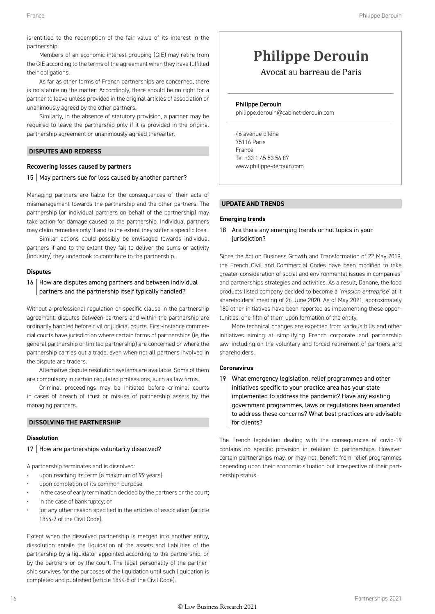is entitled to the redemption of the fair value of its interest in the partnership.

Members of an economic interest grouping (GIE) may retire from the GIE according to the terms of the agreement when they have fulfilled their obligations.

As far as other forms of French partnerships are concerned, there is no statute on the matter. Accordingly, there should be no right for a partner to leave unless provided in the original articles of association or unanimously agreed by the other partners.

Similarly, in the absence of statutory provision, a partner may be required to leave the partnership only if it is provided in the original partnership agreement or unanimously agreed thereafter.

#### **DISPUTES AND REDRESS**

#### **Recovering losses caused by partners**

#### 15 | May partners sue for loss caused by another partner?

Managing partners are liable for the consequences of their acts of mismanagement towards the partnership and the other partners. The partnership (or individual partners on behalf of the partnership) may take action for damage caused to the partnership. Individual partners may claim remedies only if and to the extent they suffer a specific loss.

Similar actions could possibly be envisaged towards individual partners if and to the extent they fail to deliver the sums or activity (industry) they undertook to contribute to the partnership.

#### **Disputes**

#### 16 How are disputes among partners and between individual partners and the partnership itself typically handled?

Without a professional regulation or specific clause in the partnership agreement, disputes between partners and within the partnership are ordinarily handled before civil or judicial courts. First-instance commercial courts have jurisdiction where certain forms of partnerships (ie, the general partnership or limited partnership) are concerned or where the partnership carries out a trade, even when not all partners involved in the dispute are traders.

Alternative dispute resolution systems are available. Some of them are compulsory in certain regulated professions, such as law firms.

Criminal proceedings may be initiated before criminal courts in cases of breach of trust or misuse of partnership assets by the managing partners.

#### **DISSOLVING THE PARTNERSHIP**

#### **Dissolution**

17 | How are partnerships voluntarily dissolved?

A partnership terminates and is dissolved:

- upon reaching its term (a maximum of 99 years);
- upon completion of its common purpose;
- in the case of early termination decided by the partners or the court;
- in the case of bankruptcy; or
- for any other reason specified in the articles of association (article 1844-7 of the Civil Code).

Except when the dissolved partnership is merged into another entity, dissolution entails the liquidation of the assets and liabilities of the partnership by a liquidator appointed according to the partnership, or by the partners or by the court. The legal personality of the partnership survives for the purposes of the liquidation until such liquidation is completed and published (article 1844-8 of the Civil Code).

#### **Philippe Derouin**

Avocat au barreau de Paris

#### Philippe Derouin

philippe.derouin@cabinet-derouin.com

46 avenue d'Iéna 75116 Paris France Tel +33 1 45 53 56 87 www.philippe-derouin.com

#### **UPDATE AND TRENDS**

#### **Emerging trends**

18  $\vert$  Are there any emerging trends or hot topics in your jurisdiction?

Since the Act on Business Growth and Transformation of 22 May 2019, the French Civil and Commercial Codes have been modified to take greater consideration of social and environmental issues in companies' and partnerships strategies and activities. As a result, Danone, the food products listed company decided to become a *'mission entreprise*' at it shareholders' meeting of 26 June 2020. As of May 2021, approximately 180 other initiatives have been reported as implementing these opportunities, one-fifth of them upon formation of the entity.

More technical changes are expected from various bills and other initiatives aiming at simplifying French corporate and partnership law, including on the voluntary and forced retirement of partners and shareholders.

#### **Coronavirus**

19 What emergency legislation, relief programmes and other initiatives specific to your practice area has your state implemented to address the pandemic? Have any existing government programmes, laws or regulations been amended to address these concerns? What best practices are advisable for clients?

The French legislation dealing with the consequences of covid-19 contains no specific provision in relation to partnerships. However certain partnerships may, or may not, benefit from relief programmes depending upon their economic situation but irrespective of their partnership status.